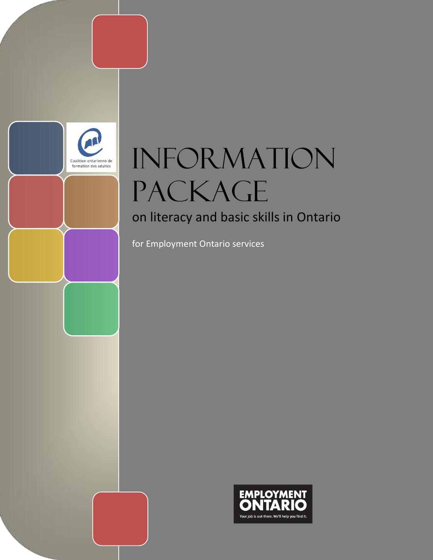

# **INFORMATION** PACKAGE

### on literacy and basic skills in Ontario

for Employment Ontario services

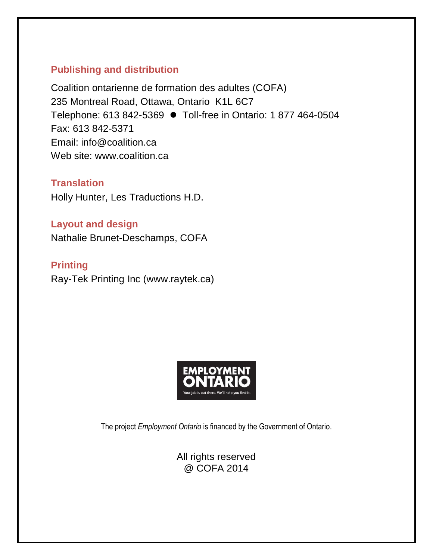### **Publishing and distribution**

Coalition ontarienne de formation des adultes (COFA) 235 Montreal Road, Ottawa, Ontario K1L 6C7 Telephone: 613 842-5369 Toll-free in Ontario: 1 877 464-0504 Fax: 613 842-5371 Email: info@coalition.ca Web site: www.coalition.ca

**Translation** Holly Hunter, Les Traductions H.D.

**Layout and design** Nathalie Brunet-Deschamps, COFA

**Printing** Ray-Tek Printing Inc (www.raytek.ca)



The project *Employment Ontario* is financed by the Government of Ontario.

All rights reserved @ COFA 2014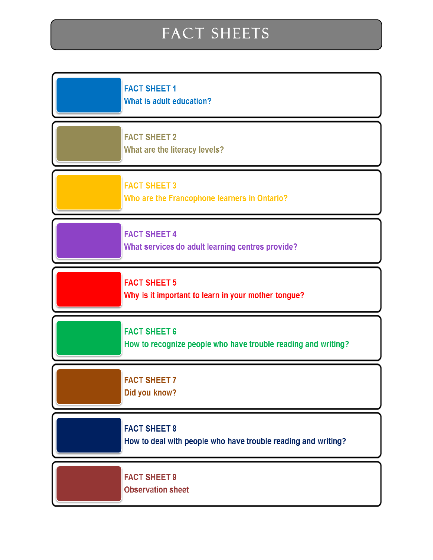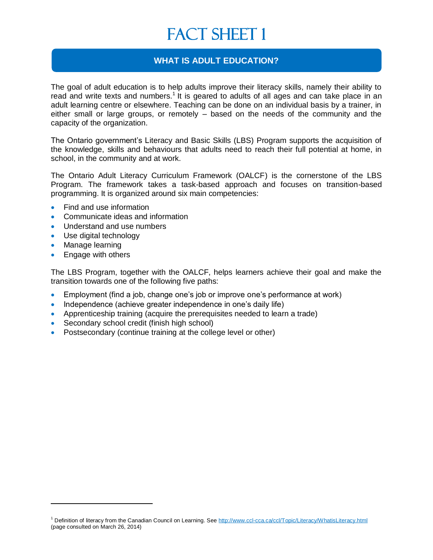### **WHAT IS ADULT EDUCATION?**

The goal of adult education is to help adults improve their literacy skills, namely their ability to read and write texts and numbers.<sup>1</sup> It is geared to adults of all ages and can take place in an adult learning centre or elsewhere. Teaching can be done on an individual basis by a trainer, in either small or large groups, or remotely – based on the needs of the community and the capacity of the organization.

The Ontario government's Literacy and Basic Skills (LBS) Program supports the acquisition of the knowledge, skills and behaviours that adults need to reach their full potential at home, in school, in the community and at work.

The Ontario Adult Literacy Curriculum Framework (OALCF) is the cornerstone of the LBS Program. The framework takes a task-based approach and focuses on transition-based programming. It is organized around six main competencies:

- Find and use information
- Communicate ideas and information
- Understand and use numbers
- Use digital technology
- Manage learning

• Engage with others

The LBS Program, together with the OALCF, helps learners achieve their goal and make the transition towards one of the following five paths:

- Employment (find a job, change one's job or improve one's performance at work)
- Independence (achieve greater independence in one's daily life)
- Apprenticeship training (acquire the prerequisites needed to learn a trade)
- Secondary school credit (finish high school)
- Postsecondary (continue training at the college level or other)

<sup>&</sup>lt;sup>1</sup> Definition of literacy from the Canadian Council on Learning. See<http://www.ccl-cca.ca/ccl/Topic/Literacy/WhatisLiteracy.html> (page consulted on March 26, 2014)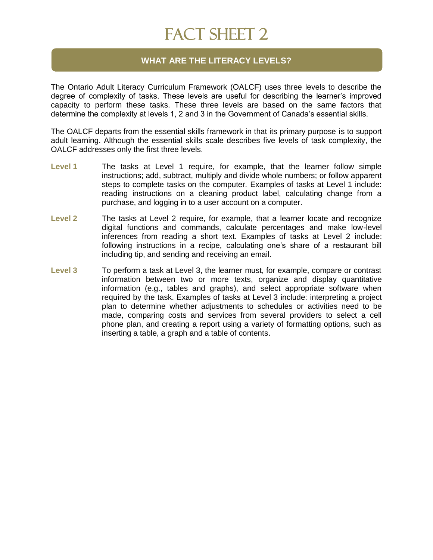#### **WHAT ARE THE LITERACY LEVELS?**

The Ontario Adult Literacy Curriculum Framework (OALCF) uses three levels to describe the degree of complexity of tasks. These levels are useful for describing the learner's improved capacity to perform these tasks. These three levels are based on the same factors that determine the complexity at levels 1, 2 and 3 in the Government of Canada's essential skills.

The OALCF departs from the essential skills framework in that its primary purpose is to support adult learning. Although the essential skills scale describes five levels of task complexity, the OALCF addresses only the first three levels.

- **Level 1** The tasks at Level 1 require, for example, that the learner follow simple instructions; add, subtract, multiply and divide whole numbers; or follow apparent steps to complete tasks on the computer. Examples of tasks at Level 1 include: reading instructions on a cleaning product label, calculating change from a purchase, and logging in to a user account on a computer.
- **Level 2** The tasks at Level 2 require, for example, that a learner locate and recognize digital functions and commands, calculate percentages and make low-level inferences from reading a short text. Examples of tasks at Level 2 include: following instructions in a recipe, calculating one's share of a restaurant bill including tip, and sending and receiving an email.
- **Level 3** To perform a task at Level 3, the learner must, for example, compare or contrast information between two or more texts, organize and display quantitative information (e.g., tables and graphs), and select appropriate software when required by the task. Examples of tasks at Level 3 include: interpreting a project plan to determine whether adjustments to schedules or activities need to be made, comparing costs and services from several providers to select a cell phone plan, and creating a report using a variety of formatting options, such as inserting a table, a graph and a table of contents.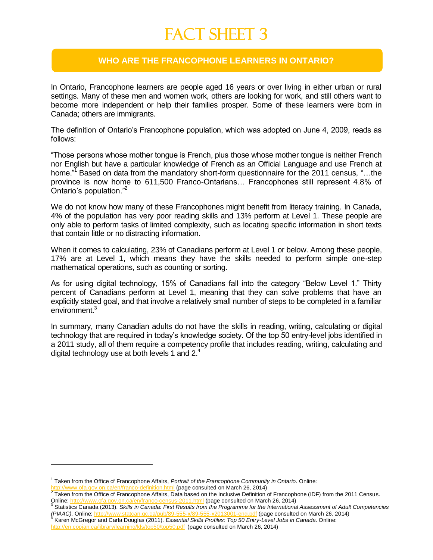#### **WHO ARE THE FRANCOPHONE LEARNERS IN ONTARIO?**

In Ontario, Francophone learners are people aged 16 years or over living in either urban or rural settings. Many of these men and women work, others are looking for work, and still others want to become more independent or help their families prosper. Some of these learners were born in Canada; others are immigrants.

The definition of Ontario's Francophone population, which was adopted on June 4, 2009, reads as follows:

"Those persons whose mother tongue is French, plus those whose mother tongue is neither French nor English but have a particular knowledge of French as an Official Language and use French at home."<sup>7</sup> Based on data from the mandatory short-form questionnaire for the 2011 census, "...the province is now home to 611,500 Franco-Ontarians… Francophones still represent 4.8% of Ontario's population."<sup>2</sup>

We do not know how many of these Francophones might benefit from literacy training. In Canada, 4% of the population has very poor reading skills and 13% perform at Level 1. These people are only able to perform tasks of limited complexity, such as locating specific information in short texts that contain little or no distracting information.

When it comes to calculating, 23% of Canadians perform at Level 1 or below. Among these people, 17% are at Level 1, which means they have the skills needed to perform simple one-step mathematical operations, such as counting or sorting.

As for using digital technology, 15% of Canadians fall into the category "Below Level 1." Thirty percent of Canadians perform at Level 1, meaning that they can solve problems that have an explicitly stated goal, and that involve a relatively small number of steps to be completed in a familiar environment.<sup>3</sup>

In summary, many Canadian adults do not have the skills in reading, writing, calculating or digital technology that are required in today's knowledge society. Of the top 50 entry-level jobs identified in a 2011 study, all of them require a competency profile that includes reading, writing, calculating and digital technology use at both levels 1 and  $2<sup>4</sup>$ .

<sup>1</sup> Taken from the Office of Francophone Affairs, *Portrait of the Francophone Community in Ontario*. Online: fa.gov.on.ca/en/franco-definition.html (page consulted on March 26, 2014)

 $^2$  Taken from the Office of Francophone Affairs, Data based on the Inclusive Definition of Francophone (IDF) from the 2011 Census. Online: <u><http://www.ofa.gov.on.ca/en/franco-census-2011.html></u> (page consulted on March 26, 2014)<br><sup>3</sup> Statistics Canada (2013). *Skills in Canada: First Results from the Programme for the International Assessment of Adult C* 

*<sup>(</sup>PIAAC)*. Online: http://www.statcan.gc.ca/pub/89-555-x/89-555-x/2013001-eng.pdf (page consulted on March 26, 2014)<br><sup>4</sup> Keren MaCreacy and Carle Davries (2011), Essential Skille Prefiles: Tap 50 Entry Lavel, John in Capad

Karen McGregor and Carla Douglas (2011). *Essential Skills Profiles: Top 50 Entry-Level Jobs in Canada*. Online: <http://en.copian.ca/library/learning/kls/top50/top50.pdf> (page consulted on March 26, 2014)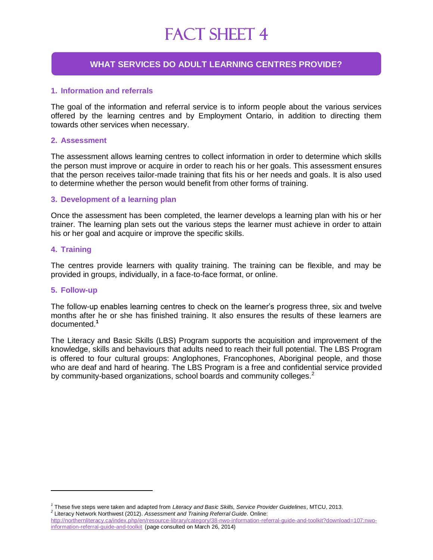#### **WHAT SERVICES DO ADULT LEARNING CENTRES PROVIDE?**

#### **1. Information and referrals**

The goal of the information and referral service is to inform people about the various services offered by the learning centres and by Employment Ontario, in addition to directing them towards other services when necessary.

#### **2. Assessment**

The assessment allows learning centres to collect information in order to determine which skills the person must improve or acquire in order to reach his or her goals. This assessment ensures that the person receives tailor-made training that fits his or her needs and goals. It is also used to determine whether the person would benefit from other forms of training.

#### **3. Development of a learning plan**

Once the assessment has been completed, the learner develops a learning plan with his or her trainer. The learning plan sets out the various steps the learner must achieve in order to attain his or her goal and acquire or improve the specific skills.

#### **4. Training**

The centres provide learners with quality training. The training can be flexible, and may be provided in groups, individually, in a face-to-face format, or online.

#### **5. Follow-up**

The follow-up enables learning centres to check on the learner's progress three, six and twelve months after he or she has finished training. It also ensures the results of these learners are documented.**<sup>1</sup>**

The Literacy and Basic Skills (LBS) Program supports the acquisition and improvement of the knowledge, skills and behaviours that adults need to reach their full potential. The LBS Program is offered to four cultural groups: Anglophones, Francophones, Aboriginal people, and those who are deaf and hard of hearing. The LBS Program is a free and confidential service provided by community-based organizations, school boards and community colleges.<sup>2</sup>

*<sup>1</sup>* These five steps were taken and adapted from *Literacy and Basic Skills, Service Provider Guidelines*, MTCU, 2013. *2* Literacy Network Northwest (2012). *Assessment and Training Referral Guide*. Online:

[http://northernliteracy.ca/index.php/en/resource-library/category/38-nwo-information-referral-guide-and-toolkit?download=107:nwo](../../Documents%20and%20Settings/Traduction%20HD/Mes%20documents/Downloads/assessment%20%20training%20referral%20guide%20%20for%20nwo%202012.pdf)[information-referral-guide-and-toolkit](../../Documents%20and%20Settings/Traduction%20HD/Mes%20documents/Downloads/assessment%20%20training%20referral%20guide%20%20for%20nwo%202012.pdf) (page consulted on March 26, 2014)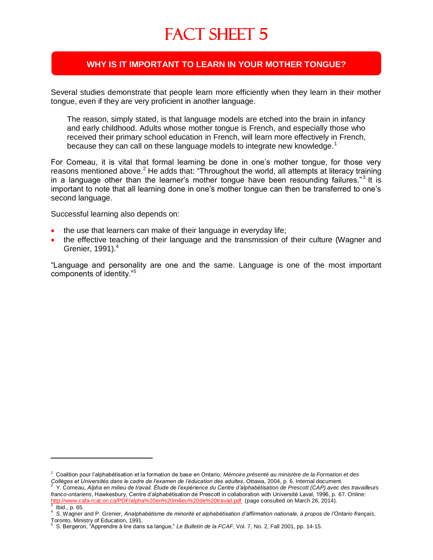### **WHY IS IT IMPORTANT TO LEARN IN YOUR MOTHER TONGUE?**

Several studies demonstrate that people learn more efficiently when they learn in their mother tongue, even if they are very proficient in another language.

The reason, simply stated, is that language models are etched into the brain in infancy and early childhood. Adults whose mother tongue is French, and especially those who received their primary school education in French, will learn more effectively in French, because they can call on these language models to integrate new knowledge.<sup>1</sup>

For Comeau, it is vital that formal learning be done in one's mother tongue, for those very reasons mentioned above.<sup>2</sup> He adds that: "Throughout the world, all attempts at literacy training in a language other than the learner's mother tongue have been resounding failures."<sup>3</sup> It is important to note that all learning done in one's mother tongue can then be transferred to one's second language.

Successful learning also depends on:

- the use that learners can make of their language in everyday life;
- the effective teaching of their language and the transmission of their culture (Wagner and Grenier,  $1991$ <sup>4</sup>

"Language and personality are one and the same. Language is one of the most important components of identity."<sup>5</sup>

<sup>1</sup> Coalition pour l'alphabétisation et la formation de base en Ontario, *Mémoire présenté au ministère de la Formation et des*  Collèges et Universités dans le cadre de l'examen de l'éducation des adultes, Ottawa, 2004, p. 6. Internal document.<br><sup>2</sup> Y. Comeau, Alpha en milieu de travail. Étude de l'expérience du Centre d'alphabétisation de Prescott

*franco-ontariens*, Hawkesbury, Centre d'alphabétisation de Prescott in collaboration with Université Laval, 1996, p. 67. Online: <http://www.cafa-rcat.on.ca/PDF/alpha%20en%20milieu%20de%20travail.pdf>(page consulted on March 26, 2014).<br><sup>3</sup> Ibid a CF Ibid., p. 65.

*<sup>4</sup> S.* Wagner and P. Grenier, *Analphabétisme de minorité et alphabétisation d'affirmation nationale, à propos de l'Ontario français*, Toronto, Ministry of Education, 1991.<br><sup>5</sup> S. Persessa. "Apprendre à lire dans

S. Bergeron, "Apprendre à lire dans sa langue," *Le Bulletin de la FCAF*, Vol. 7, No. 2, Fall 2001, pp. 14-15.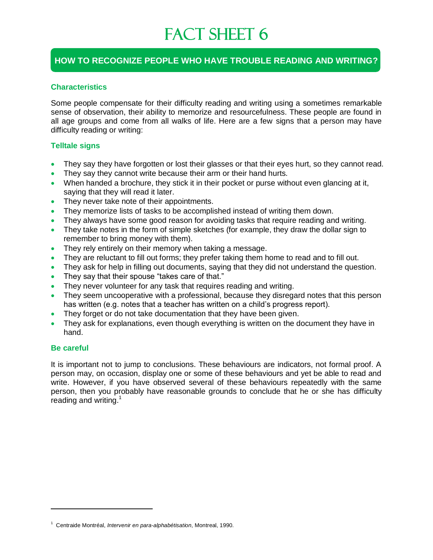### **HOW TO RECOGNIZE PEOPLE WHO HAVE TROUBLE READING AND WRITING?**

#### **Characteristics**

Some people compensate for their difficulty reading and writing using a sometimes remarkable sense of observation, their ability to memorize and resourcefulness. These people are found in all age groups and come from all walks of life. Here are a few signs that a person may have difficulty reading or writing:

#### **Telltale signs**

- They say they have forgotten or lost their glasses or that their eyes hurt, so they cannot read.
- They say they cannot write because their arm or their hand hurts.
- When handed a brochure, they stick it in their pocket or purse without even glancing at it, saying that they will read it later.
- They never take note of their appointments.
- They memorize lists of tasks to be accomplished instead of writing them down.
- They always have some good reason for avoiding tasks that require reading and writing.
- They take notes in the form of simple sketches (for example, they draw the dollar sign to remember to bring money with them).
- They rely entirely on their memory when taking a message.
- They are reluctant to fill out forms; they prefer taking them home to read and to fill out.
- They ask for help in filling out documents, saying that they did not understand the question.
- They say that their spouse "takes care of that."
- They never volunteer for any task that requires reading and writing.
- They seem uncooperative with a professional, because they disregard notes that this person has written (e.g. notes that a teacher has written on a child's progress report).
- They forget or do not take documentation that they have been given.
- They ask for explanations, even though everything is written on the document they have in hand.

#### **Be careful**

It is important not to jump to conclusions. These behaviours are indicators, not formal proof. A person may, on occasion, display one or some of these behaviours and yet be able to read and write. However, if you have observed several of these behaviours repeatedly with the same person, then you probably have reasonable grounds to conclude that he or she has difficulty reading and writing. $1$ 

<sup>1</sup> Centraide Montréal, *Intervenir en para-alphabétisation*, Montreal, 1990.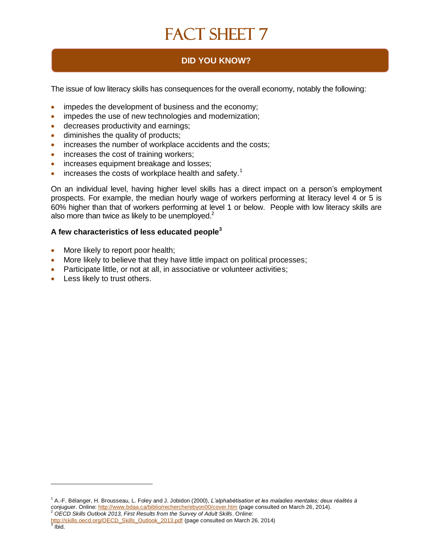### **DID YOU KNOW?**

The issue of low literacy skills has consequences for the overall economy, notably the following:

- impedes the development of business and the economy;
- impedes the use of new technologies and modernization;
- **decreases productivity and earnings;**
- diminishes the quality of products;
- increases the number of workplace accidents and the costs;
- increases the cost of training workers;
- increases equipment breakage and losses;
- $\bullet$  increases the costs of workplace health and safety.<sup>1</sup>

On an individual level, having higher level skills has a direct impact on a person's employment prospects. For example, the median hourly wage of workers performing at literacy level 4 or 5 is 60% higher than that of workers performing at level 1 or below. People with low literacy skills are also more than twice as likely to be unemployed.<sup>2</sup>

#### **A few characteristics of less educated people<sup>3</sup>**

- More likely to report poor health;
- More likely to believe that they have little impact on political processes;
- Participate little, or not at all, in associative or volunteer activities;
- Less likely to trust others.

<sup>1</sup> A.-F. Bélanger, H. Brousseau, L. Foley and J. Jobidon (2000), *L'alphabétisation et les maladies mentales; deux réalités à conjuguer*. Online: <u>http://www.bdaa.ca/biblio/recherche/ebyon00/cover.htm</u> (page consulted on March 26, 2014).<br><sup>2</sup> OECD Skills Outlook 2013, First Results from the Survey of Adult Skills. Online:

<sup>&</sup>lt;mark>[http://skills.oecd.org/OECD\\_Skills\\_Outlook\\_2013.pdf](http://skills.oecd.org/OECD_Skills_Outlook_2013.pdf)</mark> (page consulted on March 26, 2014)<br><sup>3</sup> Ibid.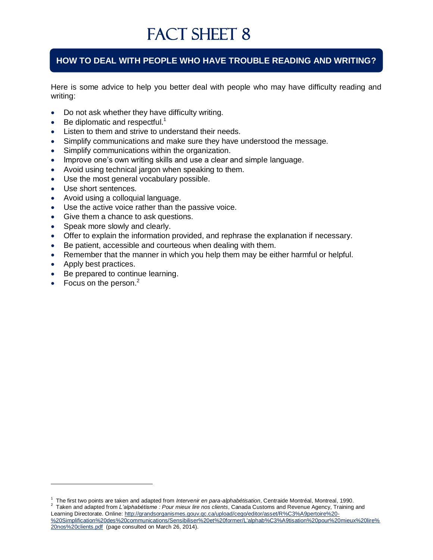### **HOW TO DEAL WITH PEOPLE WHO HAVE TROUBLE READING AND WRITING?**

Here is some advice to help you better deal with people who may have difficulty reading and writing:

- Do not ask whether they have difficulty writing.
- Be diplomatic and respectful.<sup>1</sup>
- Listen to them and strive to understand their needs.
- Simplify communications and make sure they have understood the message.
- Simplify communications within the organization.
- Improve one's own writing skills and use a clear and simple language.
- Avoid using technical jargon when speaking to them.
- Use the most general vocabulary possible.
- Use short sentences.
- Avoid using a colloquial language.
- Use the active voice rather than the passive voice.
- Give them a chance to ask questions.
- Speak more slowly and clearly.
- Offer to explain the information provided, and rephrase the explanation if necessary.
- Be patient, accessible and courteous when dealing with them.
- Remember that the manner in which you help them may be either harmful or helpful.
- Apply best practices.
- Be prepared to continue learning.
- Focus on the person.<sup>2</sup>

<sup>1</sup> The first two points are taken and adapted from *Intervenir en para-alphabétisation*, Centraide Montréal, Montreal, 1990.

<sup>2</sup> Taken and adapted from *L'alphabétisme : Pour mieux lire nos clients*, Canada Customs and Revenue Agency, Training and Learning Directorate. Online: [http://grandsorganismes.gouv.qc.ca/upload/cego/editor/asset/R%C3%A9pertoire%20-](http://grandsorganismes.gouv.qc.ca/upload/cego/editor/asset/R%C3%A9pertoire%20-%20Simplification%20des%20communications/Sensibiliser%20et%20former/L) [%20Simplification%20des%20communications/Sensibiliser%20et%20former/L'alphab%C3%A9tisation%20pour%20mieux%20lire%](http://grandsorganismes.gouv.qc.ca/upload/cego/editor/asset/R%C3%A9pertoire%20-%20Simplification%20des%20communications/Sensibiliser%20et%20former/L) [20nos%20clients.pdf](http://grandsorganismes.gouv.qc.ca/upload/cego/editor/asset/R%C3%A9pertoire%20-%20Simplification%20des%20communications/Sensibiliser%20et%20former/L) (page consulted on March 26, 2014).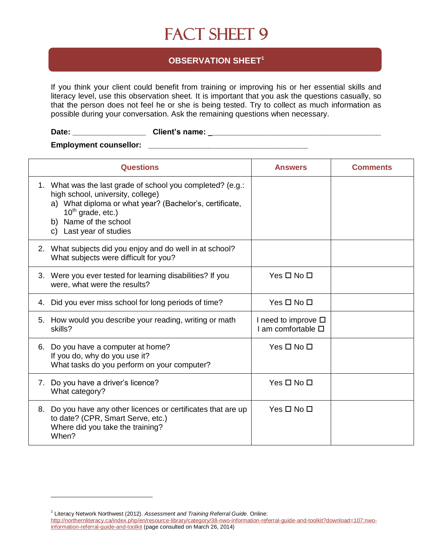### **OBSERVATION SHEET<sup>1</sup>**

If you think your client could benefit from training or improving his or her essential skills and literacy level, use this observation sheet. It is important that you ask the questions casually, so that the person does not feel he or she is being tested. Try to collect as much information as possible during your conversation. Ask the remaining questions when necessary.

### Date: \_\_\_\_\_\_\_\_\_\_\_\_\_\_\_\_\_\_\_\_\_\_\_\_\_\_\_Client's name: \_\_\_\_\_\_\_\_\_\_\_\_\_\_\_\_\_\_\_\_\_\_\_\_\_\_\_\_\_\_\_\_\_

#### **Employment counsellor: Employment** counsellor:

| <b>Questions</b>                                                                                                                                                                                                                         | <b>Answers</b>                                            | <b>Comments</b> |
|------------------------------------------------------------------------------------------------------------------------------------------------------------------------------------------------------------------------------------------|-----------------------------------------------------------|-----------------|
| 1. What was the last grade of school you completed? (e.g.:<br>high school, university, college)<br>a) What diploma or what year? (Bachelor's, certificate,<br>$10^{th}$ grade, etc.)<br>b) Name of the school<br>c) Last year of studies |                                                           |                 |
| 2. What subjects did you enjoy and do well in at school?<br>What subjects were difficult for you?                                                                                                                                        |                                                           |                 |
| 3. Were you ever tested for learning disabilities? If you<br>were, what were the results?                                                                                                                                                | Yes $\square$ No $\square$                                |                 |
| Did you ever miss school for long periods of time?<br>4.                                                                                                                                                                                 | Yes $\square$ No $\square$                                |                 |
| How would you describe your reading, writing or math<br>5.<br>skills?                                                                                                                                                                    | I need to improve $\square$<br>I am comfortable $\square$ |                 |
| Do you have a computer at home?<br>6.<br>If you do, why do you use it?<br>What tasks do you perform on your computer?                                                                                                                    | Yes □ No □                                                |                 |
| Do you have a driver's licence?<br>7.<br>What category?                                                                                                                                                                                  | $Yes \Box No \Box$                                        |                 |
| Do you have any other licences or certificates that are up<br>8.<br>to date? (CPR, Smart Serve, etc.)<br>Where did you take the training?<br>When?                                                                                       | Yes $\Box$ No $\Box$                                      |                 |

*<sup>1</sup>* Literacy Network Northwest (2012). *Assessment and Training Referral Guide*. Online:

[http://northernliteracy.ca/index.php/en/resource-library/category/38-nwo-information-referral-guide-and-toolkit?download=107:nwo](../../Documents%20and%20Settings/Traduction%20HD/Mes%20documents/Downloads/assessment%20%20training%20referral%20guide%20%20for%20nwo%202012.pdf)[information-referral-guide-and-toolkit](../../Documents%20and%20Settings/Traduction%20HD/Mes%20documents/Downloads/assessment%20%20training%20referral%20guide%20%20for%20nwo%202012.pdf) (page consulted on March 26, 2014)